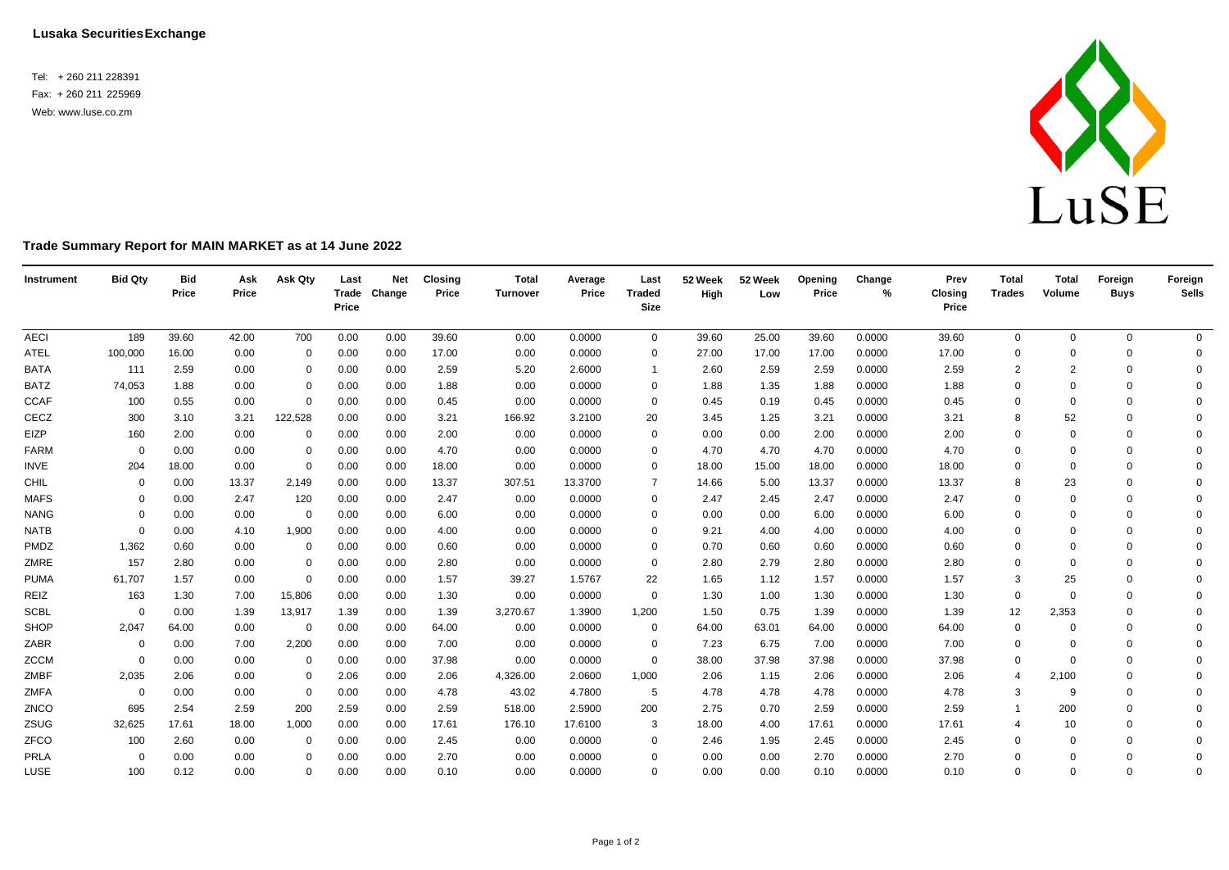Tel: + 260 211 228391 Fax: + 260 211 225969 Web[: www.luse.co.zm](http://www.luse.co.zm/)



## **Trade Summary Report for MAIN MARKET as at 14 June 2022**

| Instrument  | <b>Bid Qty</b> | <b>Bid</b><br>Price | Ask<br>Price | Ask Qty      | Last<br>Price | <b>Net</b><br>Trade Change | <b>Closing</b><br>Price | <b>Total</b><br>Turnover | Average<br>Price | Last<br><b>Traded</b><br><b>Size</b> | 52 Week<br>High | 52 Week<br>Low | Opening<br>Price | Change<br>% | Prev<br><b>Closing</b><br>Price | <b>Total</b><br><b>Trades</b> | <b>Total</b><br>Volume | Foreign<br><b>Buys</b> | Foreign<br><b>Sells</b> |
|-------------|----------------|---------------------|--------------|--------------|---------------|----------------------------|-------------------------|--------------------------|------------------|--------------------------------------|-----------------|----------------|------------------|-------------|---------------------------------|-------------------------------|------------------------|------------------------|-------------------------|
| <b>AECI</b> | 189            | 39.60               | 42.00        | 700          | 0.00          | 0.00                       | 39.60                   | 0.00                     | 0.0000           | $\mathbf 0$                          | 39.60           | 25.00          | 39.60            | 0.0000      | 39.60                           | 0                             | $\mathbf{0}$           | $\mathbf 0$            | $\overline{0}$          |
| <b>ATEL</b> | 100,000        | 16.00               | 0.00         | $\Omega$     | 0.00          | 0.00                       | 17.00                   | 0.00                     | 0.0000           | 0                                    | 27.00           | 17.00          | 17.00            | 0.0000      | 17.00                           | $\Omega$                      | $\Omega$               | $\mathbf 0$            | $\mathbf{0}$            |
| <b>BATA</b> | 111            | 2.59                | 0.00         | 0            | 0.00          | 0.00                       | 2.59                    | 5.20                     | 2.6000           | -1                                   | 2.60            | 2.59           | 2.59             | 0.0000      | 2.59                            | $\overline{2}$                | $\overline{2}$         | $\mathbf 0$            | $\Omega$                |
| <b>BATZ</b> | 74,053         | 1.88                | 0.00         | 0            | 0.00          | 0.00                       | 1.88                    | 0.00                     | 0.0000           | $\Omega$                             | 1.88            | 1.35           | 1.88             | 0.0000      | 1.88                            | $\mathbf 0$                   | $\Omega$               | $\Omega$               | $\Omega$                |
| <b>CCAF</b> | 100            | 0.55                | 0.00         | $\mathbf 0$  | 0.00          | 0.00                       | 0.45                    | 0.00                     | 0.0000           | $\mathbf 0$                          | 0.45            | 0.19           | 0.45             | 0.0000      | 0.45                            | $\mathbf 0$                   | $\Omega$               | $\Omega$               | $\Omega$                |
| CECZ        | 300            | 3.10                | 3.21         | 122,528      | 0.00          | 0.00                       | 3.21                    | 166.92                   | 3.2100           | 20                                   | 3.45            | 1.25           | 3.21             | 0.0000      | 3.21                            | 8                             | 52                     | $\Omega$               | $\Omega$                |
| EIZP        | 160            | 2.00                | 0.00         | 0            | 0.00          | 0.00                       | 2.00                    | 0.00                     | 0.0000           | $\Omega$                             | 0.00            | 0.00           | 2.00             | 0.0000      | 2.00                            | $\Omega$                      | $\Omega$               | $\Omega$               | $\Omega$                |
| <b>FARM</b> | $\Omega$       | 0.00                | 0.00         | 0            | 0.00          | 0.00                       | 4.70                    | 0.00                     | 0.0000           | $\Omega$                             | 4.70            | 4.70           | 4.70             | 0.0000      | 4.70                            | $\Omega$                      | $\Omega$               | $\Omega$               | $\Omega$                |
| INVE        | 204            | 18.00               | 0.00         | $\mathbf 0$  | 0.00          | 0.00                       | 18.00                   | 0.00                     | 0.0000           | $\Omega$                             | 18.00           | 15.00          | 18.00            | 0.0000      | 18.00                           | $\mathbf 0$                   | $\Omega$               | $\mathbf 0$            | $\Omega$                |
| CHIL        | $\Omega$       | 0.00                | 13.37        | 2,149        | 0.00          | 0.00                       | 13.37                   | 307.51                   | 13.3700          | $\overline{7}$                       | 14.66           | 5.00           | 13.37            | 0.0000      | 13.37                           | 8                             | 23                     | $\Omega$               | $\Omega$                |
| <b>MAFS</b> | 0              | 0.00                | 2.47         | 120          | 0.00          | 0.00                       | 2.47                    | 0.00                     | 0.0000           | $\Omega$                             | 2.47            | 2.45           | 2.47             | 0.0000      | 2.47                            | $\mathbf 0$                   | $\Omega$               | $\Omega$               | $\Omega$                |
| <b>NANG</b> | $\Omega$       | 0.00                | 0.00         | 0            | 0.00          | 0.00                       | 6.00                    | 0.00                     | 0.0000           | $\Omega$                             | 0.00            | 0.00           | 6.00             | 0.0000      | 6.00                            | 0                             | $\Omega$               | $\Omega$               | $\Omega$                |
| <b>NATB</b> | $\Omega$       | 0.00                | 4.10         | 1,900        | 0.00          | 0.00                       | 4.00                    | 0.00                     | 0.0000           | $\Omega$                             | 9.21            | 4.00           | 4.00             | 0.0000      | 4.00                            | $\mathbf 0$                   | $\Omega$               | $\Omega$               | $\Omega$                |
| PMDZ        | 1,362          | 0.60                | 0.00         | 0            | 0.00          | 0.00                       | 0.60                    | 0.00                     | 0.0000           | $\Omega$                             | 0.70            | 0.60           | 0.60             | 0.0000      | 0.60                            | $\mathbf 0$                   | $\Omega$               | $\Omega$               | $\Omega$                |
| ZMRE        | 157            | 2.80                | 0.00         | $\mathbf 0$  | 0.00          | 0.00                       | 2.80                    | 0.00                     | 0.0000           | $\Omega$                             | 2.80            | 2.79           | 2.80             | 0.0000      | 2.80                            | $\mathbf 0$                   | $\Omega$               | $\Omega$               | $\Omega$                |
| <b>PUMA</b> | 61,707         | 1.57                | 0.00         | $\mathbf{0}$ | 0.00          | 0.00                       | 1.57                    | 39.27                    | 1.5767           | 22                                   | 1.65            | 1.12           | 1.57             | 0.0000      | 1.57                            | 3                             | 25                     | $\Omega$               | $\Omega$                |
| REIZ        | 163            | 1.30                | 7.00         | 15,806       | 0.00          | 0.00                       | 1.30                    | 0.00                     | 0.0000           | $\mathbf 0$                          | 1.30            | 1.00           | 1.30             | 0.0000      | 1.30                            | $\mathbf 0$                   | $\Omega$               | $\Omega$               | $\Omega$                |
| <b>SCBL</b> | $\Omega$       | 0.00                | 1.39         | 13,917       | 1.39          | 0.00                       | 1.39                    | 3,270.67                 | 1.3900           | 1,200                                | 1.50            | 0.75           | 1.39             | 0.0000      | 1.39                            | 12                            | 2,353                  | $\Omega$               | $\Omega$                |
| SHOP        | 2,047          | 64.00               | 0.00         | 0            | 0.00          | 0.00                       | 64.00                   | 0.00                     | 0.0000           | $\mathbf 0$                          | 64.00           | 63.01          | 64.00            | 0.0000      | 64.00                           | $\mathbf 0$                   | $\Omega$               | $\Omega$               | $\Omega$                |
| ZABR        | $\mathbf 0$    | 0.00                | 7.00         | 2,200        | 0.00          | 0.00                       | 7.00                    | 0.00                     | 0.0000           | 0                                    | 7.23            | 6.75           | 7.00             | 0.0000      | 7.00                            | $\mathbf 0$                   | $\Omega$               | $\Omega$               | $\Omega$                |
| <b>ZCCM</b> | $\Omega$       | 0.00                | 0.00         | 0            | 0.00          | 0.00                       | 37.98                   | 0.00                     | 0.0000           | $\Omega$                             | 38.00           | 37.98          | 37.98            | 0.0000      | 37.98                           | $\mathbf 0$                   | $\Omega$               | $\Omega$               | $\Omega$                |
| ZMBF        | 2,035          | 2.06                | 0.00         | 0            | 2.06          | 0.00                       | 2.06                    | 4,326.00                 | 2.0600           | 1,000                                | 2.06            | 1.15           | 2.06             | 0.0000      | 2.06                            | 4                             | 2,100                  | $\Omega$               | $\Omega$                |
| ZMFA        | $\overline{0}$ | 0.00                | 0.00         | 0            | 0.00          | 0.00                       | 4.78                    | 43.02                    | 4.7800           | 5                                    | 4.78            | 4.78           | 4.78             | 0.0000      | 4.78                            | 3                             | 9                      | $\Omega$               | $\Omega$                |
| ZNCO        | 695            | 2.54                | 2.59         | 200          | 2.59          | 0.00                       | 2.59                    | 518.00                   | 2.5900           | 200                                  | 2.75            | 0.70           | 2.59             | 0.0000      | 2.59                            |                               | 200                    | $\Omega$               | $\Omega$                |
| ZSUG        | 32,625         | 17.61               | 18.00        | 1,000        | 0.00          | 0.00                       | 17.61                   | 176.10                   | 17.6100          | 3                                    | 18.00           | 4.00           | 17.61            | 0.0000      | 17.61                           | 4                             | 10                     | $\Omega$               | $\Omega$                |
| ZFCO        | 100            | 2.60                | 0.00         | 0            | 0.00          | 0.00                       | 2.45                    | 0.00                     | 0.0000           | $\Omega$                             | 2.46            | 1.95           | 2.45             | 0.0000      | 2.45                            | $\mathbf 0$                   | $\Omega$               | $\Omega$               | $\Omega$                |
| PRLA        | 0              | 0.00                | 0.00         | $\Omega$     | 0.00          | 0.00                       | 2.70                    | 0.00                     | 0.0000           | $\Omega$                             | 0.00            | 0.00           | 2.70             | 0.0000      | 2.70                            | $\Omega$                      | $\Omega$               | $\Omega$               | $\mathbf 0$             |
| LUSE        | 100            | 0.12                | 0.00         | 0            | 0.00          | 0.00                       | 0.10                    | 0.00                     | 0.0000           | $\Omega$                             | 0.00            | 0.00           | 0.10             | 0.0000      | 0.10                            | $\mathbf 0$                   | $\Omega$               | $\Omega$               | $\Omega$                |